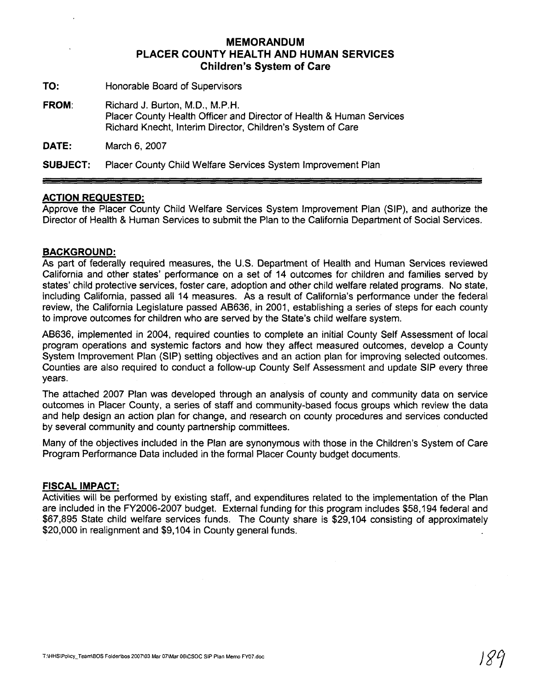## **MEMORANDUM PLACER COUNTY HEALTH AND HUMAN SERVICES Children's System of Care**

**TO:** Honorable Board of Supervisors

**FROM:** Richard J. Burton, M.D., M.P.H. Placer County Health Officer and Director of Health & Human Services Richard Knecht, Interim Director, Children's System of Care

**DATE:** March 6, 2007

**SUBJECT:** Placer County Child Welfare Services System lmprovement Plan

### **ACTION REQUESTED:**

Approve the Placer County Child Welfare Services System lmprovement Plan (SIP), and authorize the Director of Health & Human Services to submit the Plan to the California Department of Social Services.

### **BACKGROUND:**

As part of federally required measures, the U.S. Department of Health and Human Services reviewed California and other states' performance on a set of 14 outcomes for children and families served by states' child protective services, foster care, adoption and other child welfare related programs. No state, including California, passed all 14 measures. As a result of California's performance under the federal review, the California Legislature passed AB636, in 2001, establishing a series of steps for each county to improve outcomes for children who are served by the State's child welfare system.

AB636, implemented in 2004, required counties to complete an initial County Self Assessment of local program operations and systemic factors and how they affect measured outcomes, develop a County System lmprovement Plan (SIP) setting objectives and an action plan for improving selected outcomes. Counties are also required to conduct a follow-up County Self Assessment and update SIP every three years.

The attached 2007 Plan was developed through an analysis of county and community data on service outcomes in Placer County, a series of staff and community-based focus groups which review the data and help design an action plan for change, and research on county procedures and services conducted by several community and county partnership committees.

Many of the objectives included in the Plan are synonymous with those in the Children's System of Care Program Performance Data included in the formal Placer County budget documents.

### **FISCAL IMPACT:**

Activities will be performed by existing staff, and expenditures related to the implementation of the Plan are included in the FY2006-2007 budget. External funding for this program includes \$58,194 federal and \$67,895 State child welfare services funds. The County share is \$29,104 consisting of approximately \$20,000 in realignment and \$9,104 in County general funds.